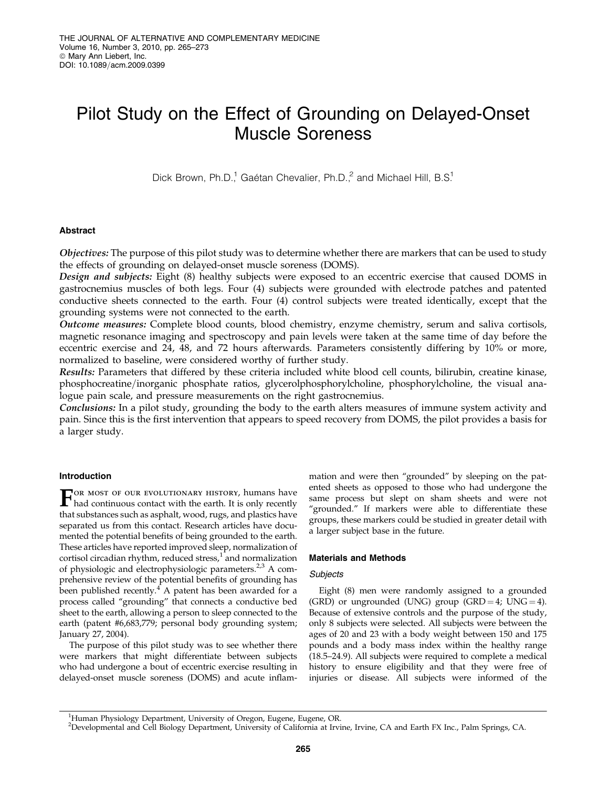# Pilot Study on the Effect of Grounding on Delayed-Onset Muscle Soreness

Dick Brown, Ph.D.<sup>1</sup>, Gaétan Chevalier, Ph.D.,<sup>2</sup> and Michael Hill, B.S.<sup>1</sup>

# Abstract

Objectives: The purpose of this pilot study was to determine whether there are markers that can be used to study the effects of grounding on delayed-onset muscle soreness (DOMS).

Design and subjects: Eight (8) healthy subjects were exposed to an eccentric exercise that caused DOMS in gastrocnemius muscles of both legs. Four (4) subjects were grounded with electrode patches and patented conductive sheets connected to the earth. Four (4) control subjects were treated identically, except that the grounding systems were not connected to the earth.

Outcome measures: Complete blood counts, blood chemistry, enzyme chemistry, serum and saliva cortisols, magnetic resonance imaging and spectroscopy and pain levels were taken at the same time of day before the eccentric exercise and 24, 48, and 72 hours afterwards. Parameters consistently differing by 10% or more, normalized to baseline, were considered worthy of further study.

Results: Parameters that differed by these criteria included white blood cell counts, bilirubin, creatine kinase, phosphocreatine/inorganic phosphate ratios, glycerolphosphorylcholine, phosphorylcholine, the visual analogue pain scale, and pressure measurements on the right gastrocnemius.

Conclusions: In a pilot study, grounding the body to the earth alters measures of immune system activity and pain. Since this is the first intervention that appears to speed recovery from DOMS, the pilot provides a basis for a larger study.

# Introduction

**FOR MOST OF OUR EVOLUTIONARY HISTORY, humans have** had continuous contact with the earth. It is only recently OR MOST OF OUR EVOLUTIONARY HISTORY, humans have that substances such as asphalt, wood, rugs, and plastics have separated us from this contact. Research articles have documented the potential benefits of being grounded to the earth. These articles have reported improved sleep, normalization of cortisol circadian rhythm, reduced stress, $1$  and normalization of physiologic and electrophysiologic parameters.<sup>2,3</sup> A comprehensive review of the potential benefits of grounding has been published recently. $4$  A patent has been awarded for a process called ''grounding'' that connects a conductive bed sheet to the earth, allowing a person to sleep connected to the earth (patent #6,683,779; personal body grounding system; January 27, 2004).

The purpose of this pilot study was to see whether there were markers that might differentiate between subjects who had undergone a bout of eccentric exercise resulting in delayed-onset muscle soreness (DOMS) and acute inflammation and were then ''grounded'' by sleeping on the patented sheets as opposed to those who had undergone the same process but slept on sham sheets and were not "grounded." If markers were able to differentiate these groups, these markers could be studied in greater detail with a larger subject base in the future.

# Materials and Methods

# **Subjects**

Eight (8) men were randomly assigned to a grounded (GRD) or ungrounded (UNG) group (GRD = 4; UNG = 4). Because of extensive controls and the purpose of the study, only 8 subjects were selected. All subjects were between the ages of 20 and 23 with a body weight between 150 and 175 pounds and a body mass index within the healthy range (18.5–24.9). All subjects were required to complete a medical history to ensure eligibility and that they were free of injuries or disease. All subjects were informed of the

<sup>1</sup>Human Physiology Department, University of Oregon, Eugene, Eugene, OR.

<sup>2</sup>Developmental and Cell Biology Department, University of California at Irvine, Irvine, CA and Earth FX Inc., Palm Springs, CA.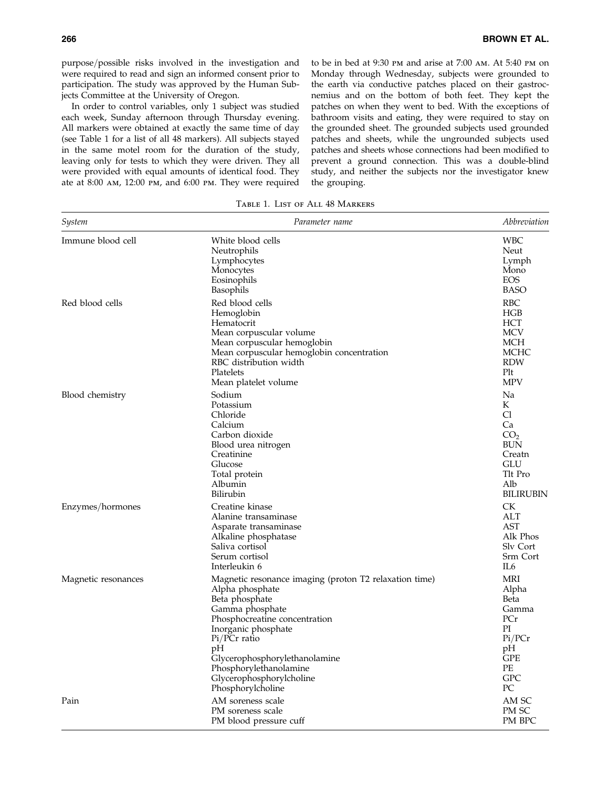purpose/possible risks involved in the investigation and were required to read and sign an informed consent prior to participation. The study was approved by the Human Subjects Committee at the University of Oregon.

In order to control variables, only 1 subject was studied each week, Sunday afternoon through Thursday evening. All markers were obtained at exactly the same time of day (see Table 1 for a list of all 48 markers). All subjects stayed in the same motel room for the duration of the study, leaving only for tests to which they were driven. They all were provided with equal amounts of identical food. They ate at 8:00 am, 12:00 pm, and 6:00 pm. They were required to be in bed at 9:30 pm and arise at 7:00 am. At 5:40 pm on Monday through Wednesday, subjects were grounded to the earth via conductive patches placed on their gastrocnemius and on the bottom of both feet. They kept the patches on when they went to bed. With the exceptions of bathroom visits and eating, they were required to stay on the grounded sheet. The grounded subjects used grounded patches and sheets, while the ungrounded subjects used patches and sheets whose connections had been modified to prevent a ground connection. This was a double-blind study, and neither the subjects nor the investigator knew the grouping.

| System              | Parameter name                                                                                                                                                                                                                                                                                           | Abbreviation                                                                                                            |
|---------------------|----------------------------------------------------------------------------------------------------------------------------------------------------------------------------------------------------------------------------------------------------------------------------------------------------------|-------------------------------------------------------------------------------------------------------------------------|
| Immune blood cell   | White blood cells<br>Neutrophils<br>Lymphocytes<br>Monocytes<br>Eosinophils<br>Basophils                                                                                                                                                                                                                 | <b>WBC</b><br>Neut<br>Lymph<br>Mono<br><b>EOS</b><br><b>BASO</b>                                                        |
| Red blood cells     | Red blood cells<br>Hemoglobin<br>Hematocrit<br>Mean corpuscular volume<br>Mean corpuscular hemoglobin<br>Mean corpuscular hemoglobin concentration<br>RBC distribution width<br>Platelets<br>Mean platelet volume                                                                                        | <b>RBC</b><br>HGB<br><b>HCT</b><br><b>MCV</b><br><b>MCH</b><br><b>MCHC</b><br><b>RDW</b><br>Plt<br><b>MPV</b>           |
| Blood chemistry     | Sodium<br>Potassium<br>Chloride<br>Calcium<br>Carbon dioxide<br>Blood urea nitrogen<br>Creatinine<br>Glucose<br>Total protein<br>Albumin<br>Bilirubin                                                                                                                                                    | Na<br>К<br>C <sub>1</sub><br>Ca<br>CO <sub>2</sub><br><b>BUN</b><br>Creatn<br>GLU<br>Tlt Pro<br>Alb<br><b>BILIRUBIN</b> |
| Enzymes/hormones    | Creatine kinase<br>Alanine transaminase<br>Asparate transaminase<br>Alkaline phosphatase<br>Saliva cortisol<br>Serum cortisol<br>Interleukin 6                                                                                                                                                           | <b>CK</b><br>ALT<br><b>AST</b><br>Alk Phos<br>Sly Cort<br>Srm Cort<br>IL6                                               |
| Magnetic resonances | Magnetic resonance imaging (proton T2 relaxation time)<br>Alpha phosphate<br>Beta phosphate<br>Gamma phosphate<br>Phosphocreatine concentration<br>Inorganic phosphate<br>Pi/PCr ratio<br>pH<br>Glycerophosphorylethanolamine<br>Phosphorylethanolamine<br>Glycerophosphorylcholine<br>Phosphorylcholine | <b>MRI</b><br>Alpha<br>Beta<br>Gamma<br>PCr<br>PI<br>Pi/PCr<br>pH<br><b>GPE</b><br>PE<br><b>GPC</b><br>PC               |
| Pain                | AM soreness scale<br>PM soreness scale<br>PM blood pressure cuff                                                                                                                                                                                                                                         | AM SC<br>PM SC<br>PM BPC                                                                                                |

Table 1. List of All 48 Markers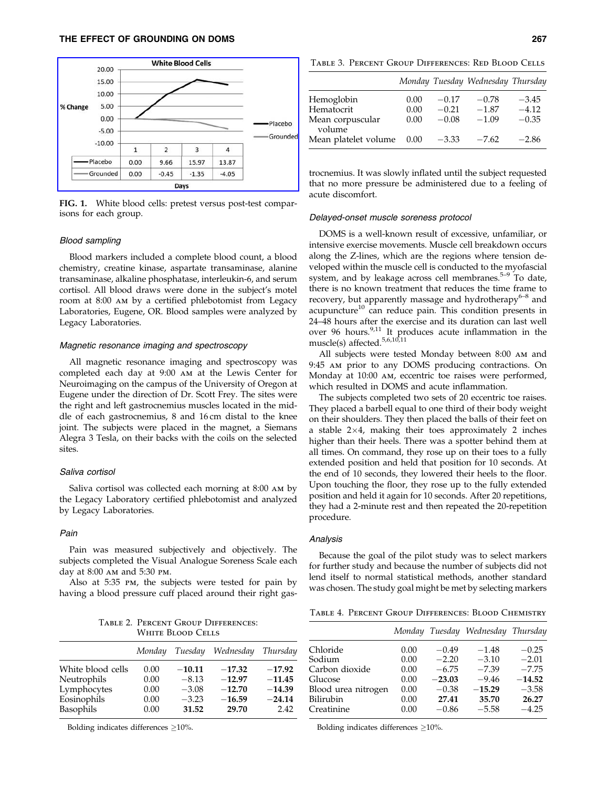

FIG. 1. White blood cells: pretest versus post-test comparisons for each group.

#### Blood sampling

Blood markers included a complete blood count, a blood chemistry, creatine kinase, aspartate transaminase, alanine transaminase, alkaline phosphatase, interleukin-6, and serum cortisol. All blood draws were done in the subject's motel room at 8:00 am by a certified phlebotomist from Legacy Laboratories, Eugene, OR. Blood samples were analyzed by Legacy Laboratories.

## Magnetic resonance imaging and spectroscopy

All magnetic resonance imaging and spectroscopy was completed each day at 9:00 am at the Lewis Center for Neuroimaging on the campus of the University of Oregon at Eugene under the direction of Dr. Scott Frey. The sites were the right and left gastrocnemius muscles located in the middle of each gastrocnemius, 8 and 16 cm distal to the knee joint. The subjects were placed in the magnet, a Siemans Alegra 3 Tesla, on their backs with the coils on the selected sites.

## Saliva cortisol

Saliva cortisol was collected each morning at 8:00 am by the Legacy Laboratory certified phlebotomist and analyzed by Legacy Laboratories.

# Pain

Pain was measured subjectively and objectively. The subjects completed the Visual Analogue Soreness Scale each day at 8:00 am and 5:30 pm.

Also at 5:35 pm, the subjects were tested for pain by having a blood pressure cuff placed around their right gas-

Table 2. Percent Group Differences: White Blood Cells

|                   | Monday | Tuesday  | Wednesday | Thursday |
|-------------------|--------|----------|-----------|----------|
| White blood cells | 0.00   | $-10.11$ | $-17.32$  | $-17.92$ |
| Neutrophils       | 0.00   | $-8.13$  | $-12.97$  | $-11.45$ |
| Lymphocytes       | 0.00   | $-3.08$  | $-12.70$  | $-14.39$ |
| Eosinophils       | 0.00   | $-3.23$  | $-16.59$  | $-24.14$ |
| Basophils         | 0.00   | 31.52    | 29.70     | 2.42     |

Bolding indicates differences  $\geq$ 10%.

Table 3. Percent Group Differences: Red Blood Cells

|                            |      |         | Monday Tuesday Wednesday Thursday |         |
|----------------------------|------|---------|-----------------------------------|---------|
| Hemoglobin                 | 0.00 | $-0.17$ | $-0.78$                           | $-3.45$ |
| Hematocrit                 | 0.00 | $-0.21$ | $-1.87$                           | $-4.12$ |
| Mean corpuscular<br>volume | 0.00 | $-0.08$ | $-1.09$                           | $-0.35$ |
| Mean platelet volume       | 0.00 | $-3.33$ | $-7.62$                           | $-2.86$ |

trocnemius. It was slowly inflated until the subject requested that no more pressure be administered due to a feeling of acute discomfort.

# Delayed-onset muscle soreness protocol

DOMS is a well-known result of excessive, unfamiliar, or intensive exercise movements. Muscle cell breakdown occurs along the Z-lines, which are the regions where tension developed within the muscle cell is conducted to the myofascial system, and by leakage across cell membranes.<sup>5-9</sup> To date, there is no known treatment that reduces the time frame to recovery, but apparently massage and hydrotherapy $6-8$  and acupuncture<sup>10</sup> can reduce pain. This condition presents in 24–48 hours after the exercise and its duration can last well over 96 hours.<sup>9,11</sup> It produces acute inflammation in the muscle(s) affected.<sup>5,6,10,11</sup>

All subjects were tested Monday between 8:00 am and 9:45 am prior to any DOMS producing contractions. On Monday at 10:00 am, eccentric toe raises were performed, which resulted in DOMS and acute inflammation.

The subjects completed two sets of 20 eccentric toe raises. They placed a barbell equal to one third of their body weight on their shoulders. They then placed the balls of their feet on a stable  $2\times4$ , making their toes approximately 2 inches higher than their heels. There was a spotter behind them at all times. On command, they rose up on their toes to a fully extended position and held that position for 10 seconds. At the end of 10 seconds, they lowered their heels to the floor. Upon touching the floor, they rose up to the fully extended position and held it again for 10 seconds. After 20 repetitions, they had a 2-minute rest and then repeated the 20-repetition procedure.

#### Analysis

Because the goal of the pilot study was to select markers for further study and because the number of subjects did not lend itself to normal statistical methods, another standard was chosen. The study goal might be met by selecting markers

Table 4. Percent Group Differences: Blood Chemistry

|                                                                                                   |                                                      |                                                                          | Monday Tuesday Wednesday Thursday                                        |                                                                          |
|---------------------------------------------------------------------------------------------------|------------------------------------------------------|--------------------------------------------------------------------------|--------------------------------------------------------------------------|--------------------------------------------------------------------------|
| Chloride<br>Sodium<br>Carbon dioxide<br>Glucose<br>Blood urea nitrogen<br>Bilirubin<br>Creatinine | 0.00<br>0.00<br>0.00<br>0.00<br>0.00<br>0.00<br>0.00 | $-0.49$<br>$-2.20$<br>$-6.75$<br>$-23.03$<br>$-0.38$<br>27.41<br>$-0.86$ | $-1.48$<br>$-3.10$<br>$-7.39$<br>$-9.46$<br>$-15.29$<br>35.70<br>$-5.58$ | $-0.25$<br>$-2.01$<br>$-7.75$<br>$-14.52$<br>$-3.58$<br>26.27<br>$-4.25$ |
|                                                                                                   |                                                      |                                                                          |                                                                          |                                                                          |

Bolding indicates differences  $\geq$ 10%.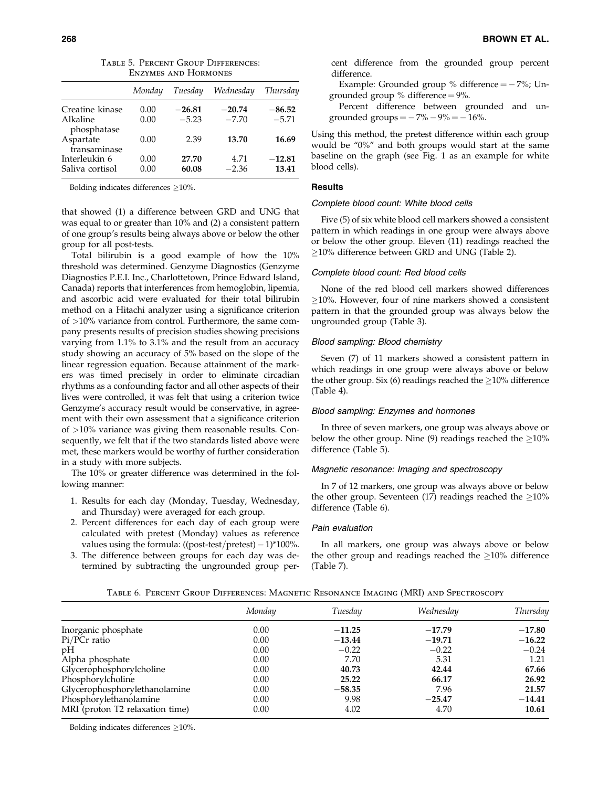|                           | Monday | Tuesday  | Wednesday | Thursday |
|---------------------------|--------|----------|-----------|----------|
| Creatine kinase           | 0.00   | $-26.81$ | $-20.74$  | $-86.52$ |
| Alkaline<br>phosphatase   | 0.00   | $-5.23$  | $-7.70$   | $-5.71$  |
| Aspartate<br>transaminase | 0.00   | 2.39     | 13.70     | 16.69    |
| Interleukin 6             | 0.00   | 27.70    | 4.71      | $-12.81$ |
| Saliva cortisol           | 0.00   | 60.08    | $-2.36$   | 13.41    |

Table 5. Percent Group Differences: Enzymes and Hormones

Bolding indicates differences  $\geq$ 10%.

that showed (1) a difference between GRD and UNG that was equal to or greater than 10% and (2) a consistent pattern of one group's results being always above or below the other group for all post-tests.

Total bilirubin is a good example of how the 10% threshold was determined. Genzyme Diagnostics (Genzyme Diagnostics P.E.I. Inc., Charlottetown, Prince Edward Island, Canada) reports that interferences from hemoglobin, lipemia, and ascorbic acid were evaluated for their total bilirubin method on a Hitachi analyzer using a significance criterion of >10% variance from control. Furthermore, the same company presents results of precision studies showing precisions varying from 1.1% to 3.1% and the result from an accuracy study showing an accuracy of 5% based on the slope of the linear regression equation. Because attainment of the markers was timed precisely in order to eliminate circadian rhythms as a confounding factor and all other aspects of their lives were controlled, it was felt that using a criterion twice Genzyme's accuracy result would be conservative, in agreement with their own assessment that a significance criterion of >10% variance was giving them reasonable results. Consequently, we felt that if the two standards listed above were met, these markers would be worthy of further consideration in a study with more subjects.

The 10% or greater difference was determined in the following manner:

- 1. Results for each day (Monday, Tuesday, Wednesday, and Thursday) were averaged for each group.
- 2. Percent differences for each day of each group were calculated with pretest (Monday) values as reference values using the formula:  $((\text{post-test}/\text{pretest}) - 1)^*100\%.$
- 3. The difference between groups for each day was determined by subtracting the ungrounded group per-

cent difference from the grounded group percent difference.

Example: Grounded group  $%$  difference  $=$   $-$  7%; Ungrounded group % difference  $= 9\%$ .

Percent difference between grounded and ungrounded groups  $=$   $-7\% - 9\% = -16\%$ .

Using this method, the pretest difference within each group would be ''0%'' and both groups would start at the same baseline on the graph (see Fig. 1 as an example for white blood cells).

# **Results**

## Complete blood count: White blood cells

Five (5) of six white blood cell markers showed a consistent pattern in which readings in one group were always above or below the other group. Eleven (11) readings reached the  $\geq$ 10% difference between GRD and UNG (Table 2).

# Complete blood count: Red blood cells

None of the red blood cell markers showed differences  $>10\%$ . However, four of nine markers showed a consistent pattern in that the grounded group was always below the ungrounded group (Table 3).

#### Blood sampling: Blood chemistry

Seven (7) of 11 markers showed a consistent pattern in which readings in one group were always above or below the other group. Six (6) readings reached the  $>10\%$  difference (Table 4).

# Blood sampling: Enzymes and hormones

In three of seven markers, one group was always above or below the other group. Nine (9) readings reached the  $\geq$ 10% difference (Table 5).

# Magnetic resonance: Imaging and spectroscopy

In 7 of 12 markers, one group was always above or below the other group. Seventeen (17) readings reached the  $\geq$ 10% difference (Table 6).

#### Pain evaluation

In all markers, one group was always above or below the other group and readings reached the  $\geq$ 10% difference (Table 7).

| TABLE 6. PERCENT GROUP DIFFERENCES: MAGNETIC RESONANCE IMAGING (MRI) AND SPECTROSCOPY |  |
|---------------------------------------------------------------------------------------|--|
|---------------------------------------------------------------------------------------|--|

|                                 | Monday | Tuesday  | Wednesday | Thursday |
|---------------------------------|--------|----------|-----------|----------|
| Inorganic phosphate             | 0.00   | $-11.25$ | $-17.79$  | $-17.80$ |
| $Pi/PCr$ ratio                  | 0.00   | $-13.44$ | $-19.71$  | $-16.22$ |
| pH                              | 0.00   | $-0.22$  | $-0.22$   | $-0.24$  |
| Alpha phosphate                 | 0.00   | 7.70     | 5.31      | 1.21     |
| Glycerophosphorylcholine        | 0.00   | 40.73    | 42.44     | 67.66    |
| Phosphorylcholine               | 0.00   | 25.22    | 66.17     | 26.92    |
| Glycerophosphorylethanolamine   | 0.00   | $-58.35$ | 7.96      | 21.57    |
| Phosphorylethanolamine          | 0.00   | 9.98     | $-25.47$  | $-14.41$ |
| MRI (proton T2 relaxation time) | 0.00   | 4.02     | 4.70      | 10.61    |

Bolding indicates differences  $\geq$ 10%.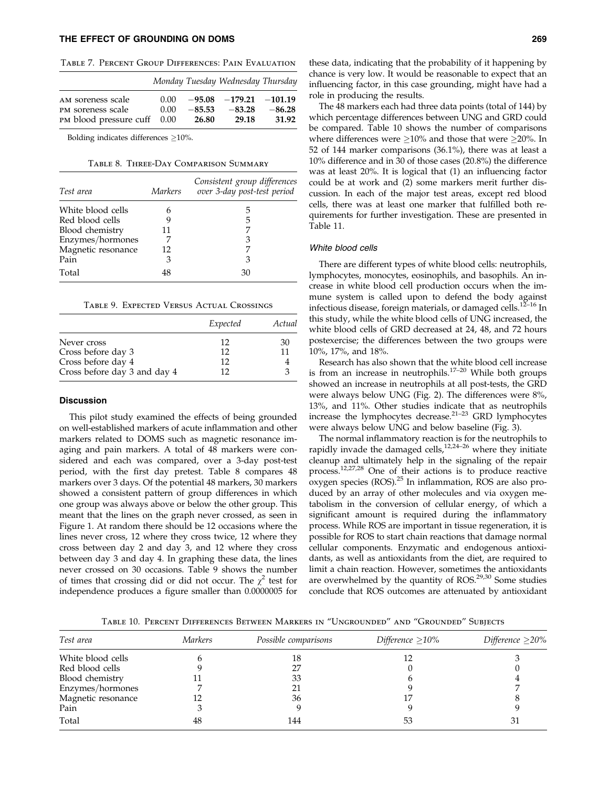# THE EFFECT OF GROUNDING ON DOMS 269

|                             |      |          | Monday Tuesday Wednesday Thursday |          |
|-----------------------------|------|----------|-----------------------------------|----------|
| AM soreness scale           | 0.00 |          | $-95.08$ $-179.21$ $-101.19$      |          |
| PM soreness scale           | 0.00 | $-85.53$ | $-83.28$                          | $-86.28$ |
| PM blood pressure cuff 0.00 |      | 26.80    | 29.18                             | 31.92    |

Bolding indicates differences  $\geq$ 10%.

Table 8. Three-Day Comparison Summary

| Test area          | Markers | Consistent group differences<br>over 3-day post-test period |
|--------------------|---------|-------------------------------------------------------------|
| White blood cells  | h       | 5                                                           |
| Red blood cells    | 9       | 5                                                           |
| Blood chemistry    | 11      |                                                             |
| Enzymes/hormones   |         | 3                                                           |
| Magnetic resonance | 12      |                                                             |
| Pain               | 3       | 3                                                           |
| Total              | 48      | 30                                                          |

|                              | Expected | Actual |
|------------------------------|----------|--------|
| Never cross                  | 12       | 30     |
| Cross before day 3           | 12       | 11     |
| Cross before day 4           | 12       |        |
| Cross before day 3 and day 4 | 12       |        |

#### **Discussion**

This pilot study examined the effects of being grounded on well-established markers of acute inflammation and other markers related to DOMS such as magnetic resonance imaging and pain markers. A total of 48 markers were considered and each was compared, over a 3-day post-test period, with the first day pretest. Table 8 compares 48 markers over 3 days. Of the potential 48 markers, 30 markers showed a consistent pattern of group differences in which one group was always above or below the other group. This meant that the lines on the graph never crossed, as seen in Figure 1. At random there should be 12 occasions where the lines never cross, 12 where they cross twice, 12 where they cross between day 2 and day 3, and 12 where they cross between day 3 and day 4. In graphing these data, the lines never crossed on 30 occasions. Table 9 shows the number of times that crossing did or did not occur. The  $\chi^2$  test for independence produces a figure smaller than 0.0000005 for

these data, indicating that the probability of it happening by chance is very low. It would be reasonable to expect that an influencing factor, in this case grounding, might have had a role in producing the results.

The 48 markers each had three data points (total of 144) by which percentage differences between UNG and GRD could be compared. Table 10 shows the number of comparisons where differences were  $\geq 10\%$  and those that were  $\geq 20\%$ . In 52 of 144 marker comparisons (36.1%), there was at least a 10% difference and in 30 of those cases (20.8%) the difference was at least 20%. It is logical that (1) an influencing factor could be at work and (2) some markers merit further discussion. In each of the major test areas, except red blood cells, there was at least one marker that fulfilled both requirements for further investigation. These are presented in Table 11.

# White blood cells

There are different types of white blood cells: neutrophils, lymphocytes, monocytes, eosinophils, and basophils. An increase in white blood cell production occurs when the immune system is called upon to defend the body against infectious disease, foreign materials, or damaged cells.<sup>12-16</sup> In this study, while the white blood cells of UNG increased, the white blood cells of GRD decreased at 24, 48, and 72 hours postexercise; the differences between the two groups were 10%, 17%, and 18%.

Research has also shown that the white blood cell increase is from an increase in neutrophils. $17-20$  While both groups showed an increase in neutrophils at all post-tests, the GRD were always below UNG (Fig. 2). The differences were 8%, 13%, and 11%. Other studies indicate that as neutrophils increase the lymphocytes decrease.21–23 GRD lymphocytes were always below UNG and below baseline (Fig. 3).

The normal inflammatory reaction is for the neutrophils to rapidly invade the damaged cells,<sup>12,24–26</sup> where they initiate cleanup and ultimately help in the signaling of the repair process.12,27,28 One of their actions is to produce reactive  $\alpha$  oxygen species (ROS).<sup>25</sup> In inflammation, ROS are also produced by an array of other molecules and via oxygen metabolism in the conversion of cellular energy, of which a significant amount is required during the inflammatory process. While ROS are important in tissue regeneration, it is possible for ROS to start chain reactions that damage normal cellular components. Enzymatic and endogenous antioxidants, as well as antioxidants from the diet, are required to limit a chain reaction. However, sometimes the antioxidants are overwhelmed by the quantity of ROS.<sup>29,30</sup> Some studies conclude that ROS outcomes are attenuated by antioxidant

Table 10. Percent Differences Between Markers in ''Ungrounded'' and ''Grounded'' Subjects

| Test area          | <i>Markers</i> | Possible comparisons | Difference $\geq$ 10% | Difference $\geq$ 20% |
|--------------------|----------------|----------------------|-----------------------|-----------------------|
| White blood cells  |                | 18                   |                       |                       |
| Red blood cells    |                | 27                   |                       |                       |
| Blood chemistry    |                | 33                   |                       |                       |
| Enzymes/hormones   |                |                      |                       |                       |
| Magnetic resonance |                | 36                   |                       |                       |
| Pain               |                |                      |                       |                       |
| Total              | 48             | 144                  | 53                    | 31                    |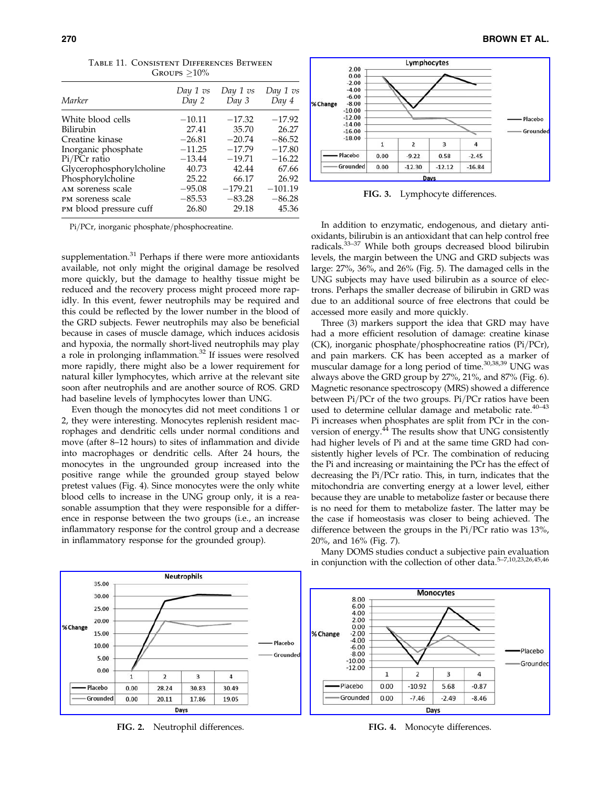| Marker                   | Day 1 vs<br>Day 2 | Day 1 vs<br>Day 3 | Day 1 vs<br>Day 4 |
|--------------------------|-------------------|-------------------|-------------------|
| White blood cells        | $-10.11$          | $-17.32$          | $-17.92$          |
| Bilirubin                | 27.41             | 35.70             | 26.27             |
| Creatine kinase          | $-26.81$          | $-20.74$          | $-86.52$          |
| Inorganic phosphate      | $-11.25$          | $-17.79$          | $-17.80$          |
| Pi/PCr ratio             | $-13.44$          | $-19.71$          | $-16.22$          |
| Glycerophosphorylcholine | 40.73             | 42.44             | 67.66             |
| Phosphorylcholine        | 25.22             | 66.17             | 26.92             |
| AM soreness scale        | $-95.08$          | $-179.21$         | $-101.19$         |
| PM soreness scale        | $-85.53$          | $-83.28$          | $-86.28$          |
| PM blood pressure cuff   | 26.80             | 29.18             | 45.36             |

Table 11. Consistent Differences Between GROUPS  $>10\%$ 

Pi/PCr, inorganic phosphate/phosphocreatine.

supplementation.<sup>31</sup> Perhaps if there were more antioxidants available, not only might the original damage be resolved more quickly, but the damage to healthy tissue might be reduced and the recovery process might proceed more rapidly. In this event, fewer neutrophils may be required and this could be reflected by the lower number in the blood of the GRD subjects. Fewer neutrophils may also be beneficial because in cases of muscle damage, which induces acidosis and hypoxia, the normally short-lived neutrophils may play a role in prolonging inflammation.<sup>32</sup> If issues were resolved more rapidly, there might also be a lower requirement for natural killer lymphocytes, which arrive at the relevant site soon after neutrophils and are another source of ROS. GRD had baseline levels of lymphocytes lower than UNG.

Even though the monocytes did not meet conditions 1 or 2, they were interesting. Monocytes replenish resident macrophages and dendritic cells under normal conditions and move (after 8–12 hours) to sites of inflammation and divide into macrophages or dendritic cells. After 24 hours, the monocytes in the ungrounded group increased into the positive range while the grounded group stayed below pretest values (Fig. 4). Since monocytes were the only white blood cells to increase in the UNG group only, it is a reasonable assumption that they were responsible for a difference in response between the two groups (i.e., an increase inflammatory response for the control group and a decrease in inflammatory response for the grounded group).



FIG. 3. Lymphocyte differences.

In addition to enzymatic, endogenous, and dietary antioxidants, bilirubin is an antioxidant that can help control free radicals.33–37 While both groups decreased blood bilirubin levels, the margin between the UNG and GRD subjects was large: 27%, 36%, and 26% (Fig. 5). The damaged cells in the UNG subjects may have used bilirubin as a source of electrons. Perhaps the smaller decrease of bilirubin in GRD was due to an additional source of free electrons that could be accessed more easily and more quickly.

Three (3) markers support the idea that GRD may have had a more efficient resolution of damage: creatine kinase (CK), inorganic phosphate/phosphocreatine ratios (Pi/PCr), and pain markers. CK has been accepted as a marker of muscular damage for a long period of time.<sup>30,38,39</sup> UNG was always above the GRD group by 27%, 21%, and 87% (Fig. 6). Magnetic resonance spectroscopy (MRS) showed a difference between Pi/PCr of the two groups. Pi/PCr ratios have been used to determine cellular damage and metabolic rate. $40-43$ Pi increases when phosphates are split from PCr in the conversion of energy. $^{44}$  The results show that UNG consistently had higher levels of Pi and at the same time GRD had consistently higher levels of PCr. The combination of reducing the Pi and increasing or maintaining the PCr has the effect of decreasing the Pi/PCr ratio. This, in turn, indicates that the mitochondria are converting energy at a lower level, either because they are unable to metabolize faster or because there is no need for them to metabolize faster. The latter may be the case if homeostasis was closer to being achieved. The difference between the groups in the Pi/PCr ratio was 13%, 20%, and 16% (Fig. 7).

Many DOMS studies conduct a subjective pain evaluation in conjunction with the collection of other data.5–7,10,23,26,45,46



FIG. 2. Neutrophil differences. FIG. 4. Monocyte differences.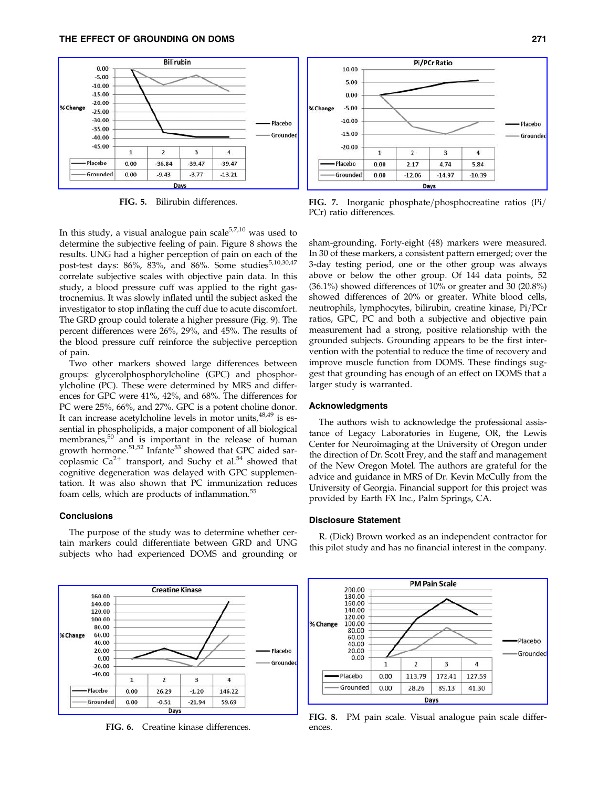

FIG. 5. Bilirubin differences.

In this study, a visual analogue pain scale $5,7,10$  was used to determine the subjective feeling of pain. Figure 8 shows the results. UNG had a higher perception of pain on each of the post-test days: 86%, 83%, and 86%. Some studies<sup>5,10,30,47</sup> correlate subjective scales with objective pain data. In this study, a blood pressure cuff was applied to the right gastrocnemius. It was slowly inflated until the subject asked the investigator to stop inflating the cuff due to acute discomfort. The GRD group could tolerate a higher pressure (Fig. 9). The percent differences were 26%, 29%, and 45%. The results of the blood pressure cuff reinforce the subjective perception of pain.

Two other markers showed large differences between groups: glycerolphosphorylcholine (GPC) and phosphorylcholine (PC). These were determined by MRS and differences for GPC were 41%, 42%, and 68%. The differences for PC were 25%, 66%, and 27%. GPC is a potent choline donor. It can increase acetylcholine levels in motor units,  $48,49$  is essential in phospholipids, a major component of all biological membranes,<sup>50</sup> and is important in the release of human growth hormone.<sup>51,52</sup> Infante<sup>53</sup> showed that GPC aided sarcoplasmic  $Ca^{2+}$  transport, and Suchy et al.<sup>54</sup> showed that cognitive degeneration was delayed with GPC supplementation. It was also shown that PC immunization reduces foam cells, which are products of inflammation.<sup>55</sup>

# **Conclusions**

The purpose of the study was to determine whether certain markers could differentiate between GRD and UNG subjects who had experienced DOMS and grounding or



FIG. 6. Creatine kinase differences.



FIG. 7. Inorganic phosphate/phosphocreatine ratios (Pi/ PCr) ratio differences.

sham-grounding. Forty-eight (48) markers were measured. In 30 of these markers, a consistent pattern emerged; over the 3-day testing period, one or the other group was always above or below the other group. Of 144 data points, 52 (36.1%) showed differences of 10% or greater and 30 (20.8%) showed differences of 20% or greater. White blood cells, neutrophils, lymphocytes, bilirubin, creatine kinase, Pi/PCr ratios, GPC, PC and both a subjective and objective pain measurement had a strong, positive relationship with the grounded subjects. Grounding appears to be the first intervention with the potential to reduce the time of recovery and improve muscle function from DOMS. These findings suggest that grounding has enough of an effect on DOMS that a larger study is warranted.

#### Acknowledgments

The authors wish to acknowledge the professional assistance of Legacy Laboratories in Eugene, OR, the Lewis Center for Neuroimaging at the University of Oregon under the direction of Dr. Scott Frey, and the staff and management of the New Oregon Motel. The authors are grateful for the advice and guidance in MRS of Dr. Kevin McCully from the University of Georgia. Financial support for this project was provided by Earth FX Inc., Palm Springs, CA.

## Disclosure Statement

R. (Dick) Brown worked as an independent contractor for this pilot study and has no financial interest in the company.



FIG. 8. PM pain scale. Visual analogue pain scale differences.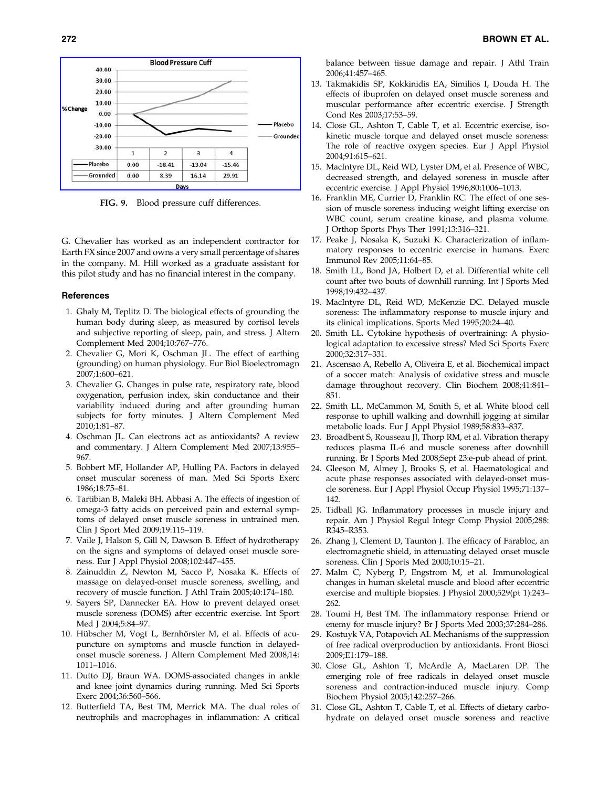

FIG. 9. Blood pressure cuff differences.

G. Chevalier has worked as an independent contractor for Earth FX since 2007 and owns a very small percentage of shares in the company. M. Hill worked as a graduate assistant for this pilot study and has no financial interest in the company.

#### **References**

- 1. Ghaly M, Teplitz D. The biological effects of grounding the human body during sleep, as measured by cortisol levels and subjective reporting of sleep, pain, and stress. J Altern Complement Med 2004;10:767–776.
- 2. Chevalier G, Mori K, Oschman JL. The effect of earthing (grounding) on human physiology. Eur Biol Bioelectromagn 2007;1:600–621.
- 3. Chevalier G. Changes in pulse rate, respiratory rate, blood oxygenation, perfusion index, skin conductance and their variability induced during and after grounding human subjects for forty minutes. J Altern Complement Med 2010;1:81–87.
- 4. Oschman JL. Can electrons act as antioxidants? A review and commentary. J Altern Complement Med 2007;13:955– 967.
- 5. Bobbert MF, Hollander AP, Hulling PA. Factors in delayed onset muscular soreness of man. Med Sci Sports Exerc 1986;18:75–81.
- 6. Tartibian B, Maleki BH, Abbasi A. The effects of ingestion of omega-3 fatty acids on perceived pain and external symptoms of delayed onset muscle soreness in untrained men. Clin J Sport Med 2009;19:115–119.
- 7. Vaile J, Halson S, Gill N, Dawson B. Effect of hydrotherapy on the signs and symptoms of delayed onset muscle soreness. Eur J Appl Physiol 2008;102:447–455.
- 8. Zainuddin Z, Newton M, Sacco P, Nosaka K. Effects of massage on delayed-onset muscle soreness, swelling, and recovery of muscle function. J Athl Train 2005;40:174–180.
- 9. Sayers SP, Dannecker EA. How to prevent delayed onset muscle soreness (DOMS) after eccentric exercise. Int Sport Med J 2004;5:84–97.
- 10. Hübscher M, Vogt L, Bernhörster M, et al. Effects of acupuncture on symptoms and muscle function in delayedonset muscle soreness. J Altern Complement Med 2008;14: 1011–1016.
- 11. Dutto DJ, Braun WA. DOMS-associated changes in ankle and knee joint dynamics during running. Med Sci Sports Exerc 2004;36:560–566.
- 12. Butterfield TA, Best TM, Merrick MA. The dual roles of neutrophils and macrophages in inflammation: A critical

balance between tissue damage and repair. J Athl Train 2006;41:457–465.

- 13. Takmakidis SP, Kokkinidis EA, Similios I, Douda H. The effects of ibuprofen on delayed onset muscle soreness and muscular performance after eccentric exercise. J Strength Cond Res 2003;17:53–59.
- 14. Close GL, Ashton T, Cable T, et al. Eccentric exercise, isokinetic muscle torque and delayed onset muscle soreness: The role of reactive oxygen species. Eur J Appl Physiol 2004;91:615–621.
- 15. MacIntyre DL, Reid WD, Lyster DM, et al. Presence of WBC, decreased strength, and delayed soreness in muscle after eccentric exercise. J Appl Physiol 1996;80:1006–1013.
- 16. Franklin ME, Currier D, Franklin RC. The effect of one session of muscle soreness inducing weight lifting exercise on WBC count, serum creatine kinase, and plasma volume. J Orthop Sports Phys Ther 1991;13:316–321.
- 17. Peake J, Nosaka K, Suzuki K. Characterization of inflammatory responses to eccentric exercise in humans. Exerc Immunol Rev 2005;11:64–85.
- 18. Smith LL, Bond JA, Holbert D, et al. Differential white cell count after two bouts of downhill running. Int J Sports Med 1998;19:432–437.
- 19. MacIntyre DL, Reid WD, McKenzie DC. Delayed muscle soreness: The inflammatory response to muscle injury and its clinical implications. Sports Med 1995;20:24–40.
- 20. Smith LL. Cytokine hypothesis of overtraining: A physiological adaptation to excessive stress? Med Sci Sports Exerc 2000;32:317–331.
- 21. Ascensao A, Rebello A, Oliveira E, et al. Biochemical impact of a soccer match: Analysis of oxidative stress and muscle damage throughout recovery. Clin Biochem 2008;41:841– 851.
- 22. Smith LL, McCammon M, Smith S, et al. White blood cell response to uphill walking and downhill jogging at similar metabolic loads. Eur J Appl Physiol 1989;58:833–837.
- 23. Broadbent S, Rousseau JJ, Thorp RM, et al. Vibration therapy reduces plasma IL-6 and muscle soreness after downhill running. Br J Sports Med 2008;Sept 23:e-pub ahead of print.
- 24. Gleeson M, Almey J, Brooks S, et al. Haematological and acute phase responses associated with delayed-onset muscle soreness. Eur J Appl Physiol Occup Physiol 1995;71:137– 142.
- 25. Tidball JG. Inflammatory processes in muscle injury and repair. Am J Physiol Regul Integr Comp Physiol 2005;288: R345–R353.
- 26. Zhang J, Clement D, Taunton J. The efficacy of Farabloc, an electromagnetic shield, in attenuating delayed onset muscle soreness. Clin J Sports Med 2000;10:15–21.
- 27. Malm C, Nyberg P, Engstrom M, et al. Immunological changes in human skeletal muscle and blood after eccentric exercise and multiple biopsies. J Physiol 2000;529(pt 1):243– 262.
- 28. Toumi H, Best TM. The inflammatory response: Friend or enemy for muscle injury? Br J Sports Med 2003;37:284–286.
- 29. Kostuyk VA, Potapovich AI. Mechanisms of the suppression of free radical overproduction by antioxidants. Front Biosci 2009;E1:179–188.
- 30. Close GL, Ashton T, McArdle A, MacLaren DP. The emerging role of free radicals in delayed onset muscle soreness and contraction-induced muscle injury. Comp Biochem Physiol 2005;142:257–266.
- 31. Close GL, Ashton T, Cable T, et al. Effects of dietary carbohydrate on delayed onset muscle soreness and reactive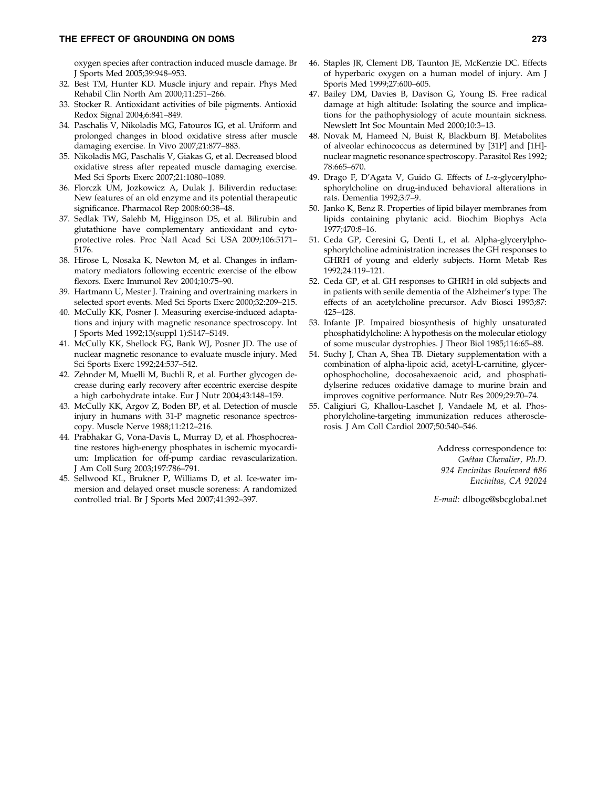# THE EFFECT OF GROUNDING ON DOMS 273

oxygen species after contraction induced muscle damage. Br J Sports Med 2005;39:948–953.

- 32. Best TM, Hunter KD. Muscle injury and repair. Phys Med Rehabil Clin North Am 2000;11:251–266.
- 33. Stocker R. Antioxidant activities of bile pigments. Antioxid Redox Signal 2004;6:841–849.
- 34. Paschalis V, Nikoladis MG, Fatouros IG, et al. Uniform and prolonged changes in blood oxidative stress after muscle damaging exercise. In Vivo 2007;21:877–883.
- 35. Nikoladis MG, Paschalis V, Giakas G, et al. Decreased blood oxidative stress after repeated muscle damaging exercise. Med Sci Sports Exerc 2007;21:1080–1089.
- 36. Florczk UM, Jozkowicz A, Dulak J. Biliverdin reductase: New features of an old enzyme and its potential therapeutic significance. Pharmacol Rep 2008:60:38–48.
- 37. Sedlak TW, Salehb M, Higginson DS, et al. Bilirubin and glutathione have complementary antioxidant and cytoprotective roles. Proc Natl Acad Sci USA 2009;106:5171– 5176.
- 38. Hirose L, Nosaka K, Newton M, et al. Changes in inflammatory mediators following eccentric exercise of the elbow flexors. Exerc Immunol Rev 2004;10:75–90.
- 39. Hartmann U, Mester J. Training and overtraining markers in selected sport events. Med Sci Sports Exerc 2000;32:209–215.
- 40. McCully KK, Posner J. Measuring exercise-induced adaptations and injury with magnetic resonance spectroscopy. Int J Sports Med 1992;13(suppl 1):S147–S149.
- 41. McCully KK, Shellock FG, Bank WJ, Posner JD. The use of nuclear magnetic resonance to evaluate muscle injury. Med Sci Sports Exerc 1992;24:537–542.
- 42. Zehnder M, Muelli M, Buchli R, et al. Further glycogen decrease during early recovery after eccentric exercise despite a high carbohydrate intake. Eur J Nutr 2004;43:148–159.
- 43. McCully KK, Argov Z, Boden BP, et al. Detection of muscle injury in humans with 31-P magnetic resonance spectroscopy. Muscle Nerve 1988;11:212–216.
- 44. Prabhakar G, Vona-Davis L, Murray D, et al. Phosphocreatine restores high-energy phosphates in ischemic myocardium: Implication for off-pump cardiac revascularization. J Am Coll Surg 2003;197:786–791.
- 45. Sellwood KL, Brukner P, Williams D, et al. Ice-water immersion and delayed onset muscle soreness: A randomized controlled trial. Br J Sports Med 2007;41:392–397.
- 46. Staples JR, Clement DB, Taunton JE, McKenzie DC. Effects of hyperbaric oxygen on a human model of injury. Am J Sports Med 1999;27:600–605.
- 47. Bailey DM, Davies B, Davison G, Young IS. Free radical damage at high altitude: Isolating the source and implications for the pathophysiology of acute mountain sickness. Newslett Int Soc Mountain Med 2000;10:3–13.
- 48. Novak M, Hameed N, Buist R, Blackburn BJ. Metabolites of alveolar echinococcus as determined by [31P] and [1H] nuclear magnetic resonance spectroscopy. Parasitol Res 1992; 78:665–670.
- 49. Drago F, D'Agata V, Guido G. Effects of *L*-a-glycerylphosphorylcholine on drug-induced behavioral alterations in rats. Dementia 1992;3:7–9.
- 50. Janko K, Benz R. Properties of lipid bilayer membranes from lipids containing phytanic acid. Biochim Biophys Acta 1977;470:8–16.
- 51. Ceda GP, Ceresini G, Denti L, et al. Alpha-glycerylphosphorylcholine administration increases the GH responses to GHRH of young and elderly subjects. Horm Metab Res 1992;24:119–121.
- 52. Ceda GP, et al. GH responses to GHRH in old subjects and in patients with senile dementia of the Alzheimer's type: The effects of an acetylcholine precursor. Adv Biosci 1993;87: 425–428.
- 53. Infante JP. Impaired biosynthesis of highly unsaturated phosphatidylcholine: A hypothesis on the molecular etiology of some muscular dystrophies. J Theor Biol 1985;116:65–88.
- 54. Suchy J, Chan A, Shea TB. Dietary supplementation with a combination of alpha-lipoic acid, acetyl-L-carnitine, glycerophosphocholine, docosahexaenoic acid, and phosphatidylserine reduces oxidative damage to murine brain and improves cognitive performance. Nutr Res 2009;29:70–74.
- 55. Caligiuri G, Khallou-Laschet J, Vandaele M, et al. Phosphorylcholine-targeting immunization reduces atherosclerosis. J Am Coll Cardiol 2007;50:540–546.

Address correspondence to: *Gae´tan Chevalier, Ph.D. 924 Encinitas Boulevard #86 Encinitas, CA 92024*

*E-mail:* dlbogc@sbcglobal.net